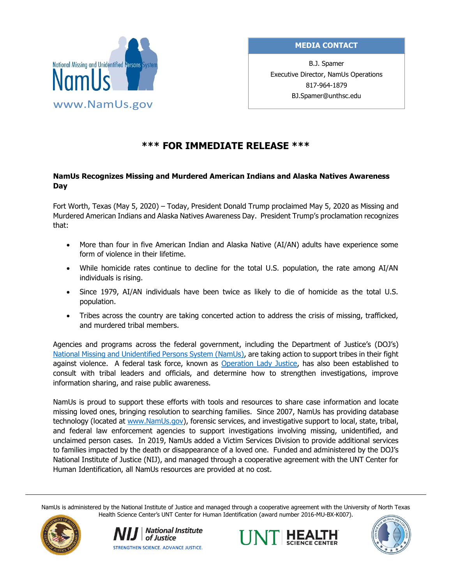

# **MEDIA CONTACT**

B.J. Spamer Executive Director, NamUs Operations 817-964-1879 BJ.Spamer@unthsc.edu

# **\*\*\* FOR IMMEDIATE RELEASE \*\*\***

### **NamUs Recognizes Missing and Murdered American Indians and Alaska Natives Awareness Day**

Fort Worth, Texas (May 5, 2020) – Today, President Donald Trump proclaimed May 5, 2020 as Missing and Murdered American Indians and Alaska Natives Awareness Day. President Trump's proclamation recognizes that:

- More than four in five American Indian and Alaska Native (AI/AN) adults have experience some form of violence in their lifetime.
- While homicide rates continue to decline for the total U.S. population, the rate among AI/AN individuals is rising.
- Since 1979, AI/AN individuals have been twice as likely to die of homicide as the total U.S. population.
- Tribes across the country are taking concerted action to address the crisis of missing, trafficked, and murdered tribal members.

Agencies and programs across the federal government, including the Department of Justice's (DOJ's) [National Missing and Unidentified Persons System \(NamUs\),](http://www.namus.gov/) are taking action to support tribes in their fight against violence. A federal task force, known as [Operation Lady Justice,](https://operationladyjustice.usdoj.gov/) has also been established to consult with tribal leaders and officials, and determine how to strengthen investigations, improve information sharing, and raise public awareness.

NamUs is proud to support these efforts with tools and resources to share case information and locate missing loved ones, bringing resolution to searching families. Since 2007, NamUs has providing database technology (located at [www.NamUs.gov\)](http://www.namus.gov/), forensic services, and investigative support to local, state, tribal, and federal law enforcement agencies to support investigations involving missing, unidentified, and unclaimed person cases. In 2019, NamUs added a Victim Services Division to provide additional services to families impacted by the death or disappearance of a loved one. Funded and administered by the DOJ's National Institute of Justice (NIJ), and managed through a cooperative agreement with the UNT Center for Human Identification, all NamUs resources are provided at no cost.

NamUs is administered by the National Institute of Justice and managed through a cooperative agreement with the University of North Texas Health Science Center's UNT Center for Human Identification (award number 2016-MU-BX-K007).